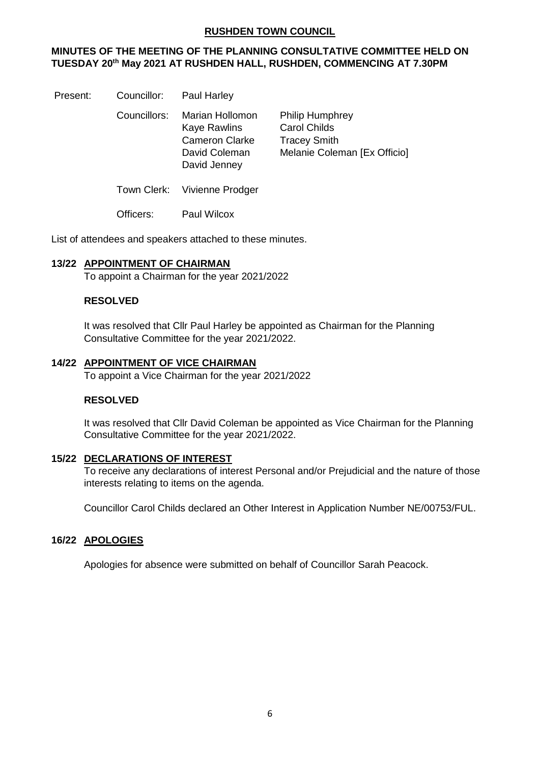## **RUSHDEN TOWN COUNCIL**

## **MINUTES OF THE MEETING OF THE PLANNING CONSULTATIVE COMMITTEE HELD ON TUESDAY 20 th May 2021 AT RUSHDEN HALL, RUSHDEN, COMMENCING AT 7.30PM**

Present: Councillor: Paul Harley

Councillors: Marian Hollomon Philip Humphrey Kaye Rawlins Carol Childs David Jenney

Cameron Clarke Tracey Smith David Coleman Melanie Coleman [Ex Officio]

Town Clerk: Vivienne Prodger

Officers: Paul Wilcox

List of attendees and speakers attached to these minutes.

## **13/22 APPOINTMENT OF CHAIRMAN**

To appoint a Chairman for the year 2021/2022

## **RESOLVED**

It was resolved that Cllr Paul Harley be appointed as Chairman for the Planning Consultative Committee for the year 2021/2022.

### **14/22 APPOINTMENT OF VICE CHAIRMAN**

To appoint a Vice Chairman for the year 2021/2022

#### **RESOLVED**

It was resolved that Cllr David Coleman be appointed as Vice Chairman for the Planning Consultative Committee for the year 2021/2022.

#### **15/22 DECLARATIONS OF INTEREST**

To receive any declarations of interest Personal and/or Prejudicial and the nature of those interests relating to items on the agenda.

Councillor Carol Childs declared an Other Interest in Application Number NE/00753/FUL.

## **16/22 APOLOGIES**

Apologies for absence were submitted on behalf of Councillor Sarah Peacock.